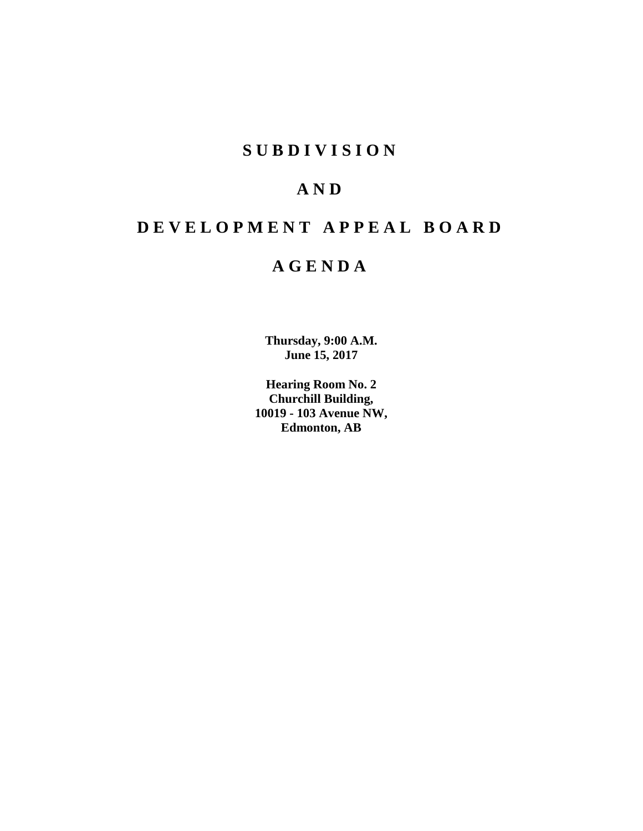# **S U B D I V I S I O N**

# **A N D**

# **D E V E L O P M E N T A P P E A L B O A R D**

# **A G E N D A**

**Thursday, 9:00 A.M. June 15, 2017**

**Hearing Room No. 2 Churchill Building, 10019 - 103 Avenue NW, Edmonton, AB**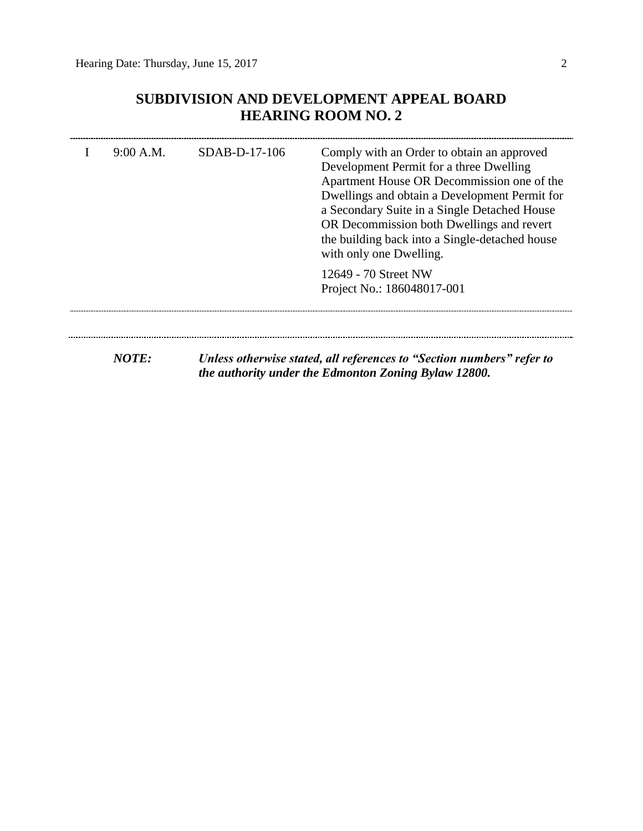# **SUBDIVISION AND DEVELOPMENT APPEAL BOARD HEARING ROOM NO. 2**

| 9:00 A.M. | $SDAB-D-17-106$ | Comply with an Order to obtain an approved<br>Development Permit for a three Dwelling<br>Apartment House OR Decommission one of the<br>Dwellings and obtain a Development Permit for<br>a Secondary Suite in a Single Detached House<br>OR Decommission both Dwellings and revert<br>the building back into a Single-detached house<br>with only one Dwelling. |
|-----------|-----------------|----------------------------------------------------------------------------------------------------------------------------------------------------------------------------------------------------------------------------------------------------------------------------------------------------------------------------------------------------------------|
|           |                 | 12649 - 70 Street NW<br>Project No.: 186048017-001                                                                                                                                                                                                                                                                                                             |
| NOTE:     |                 | Unless otherwise stated, all references to "Section numbers" refer to<br>the authority under the Edmonton Zoning Bylaw 12800.                                                                                                                                                                                                                                  |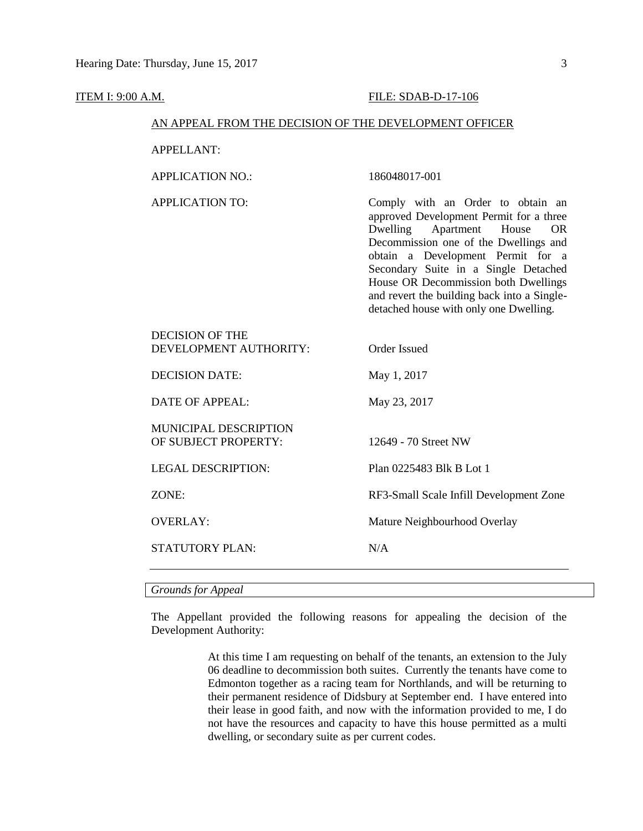| <b>ITEM I: 9:00 A.M.</b> |                                                        | FILE: SDAB-D-17-106                                                                                                                                                                                                                                                                                                                                                       |  |  |  |  |
|--------------------------|--------------------------------------------------------|---------------------------------------------------------------------------------------------------------------------------------------------------------------------------------------------------------------------------------------------------------------------------------------------------------------------------------------------------------------------------|--|--|--|--|
|                          | AN APPEAL FROM THE DECISION OF THE DEVELOPMENT OFFICER |                                                                                                                                                                                                                                                                                                                                                                           |  |  |  |  |
|                          | <b>APPELLANT:</b>                                      |                                                                                                                                                                                                                                                                                                                                                                           |  |  |  |  |
|                          | <b>APPLICATION NO.:</b>                                | 186048017-001                                                                                                                                                                                                                                                                                                                                                             |  |  |  |  |
|                          | <b>APPLICATION TO:</b>                                 | Comply with an Order to obtain an<br>approved Development Permit for a three<br>Dwelling<br>Apartment House<br>OR.<br>Decommission one of the Dwellings and<br>obtain a Development Permit for a<br>Secondary Suite in a Single Detached<br>House OR Decommission both Dwellings<br>and revert the building back into a Single-<br>detached house with only one Dwelling. |  |  |  |  |
|                          | <b>DECISION OF THE</b><br>DEVELOPMENT AUTHORITY:       | <b>Order Issued</b>                                                                                                                                                                                                                                                                                                                                                       |  |  |  |  |
|                          | <b>DECISION DATE:</b>                                  | May 1, 2017                                                                                                                                                                                                                                                                                                                                                               |  |  |  |  |
|                          | <b>DATE OF APPEAL:</b>                                 | May 23, 2017                                                                                                                                                                                                                                                                                                                                                              |  |  |  |  |
|                          | MUNICIPAL DESCRIPTION<br>OF SUBJECT PROPERTY:          | 12649 - 70 Street NW                                                                                                                                                                                                                                                                                                                                                      |  |  |  |  |
|                          | <b>LEGAL DESCRIPTION:</b>                              | Plan 0225483 Blk B Lot 1                                                                                                                                                                                                                                                                                                                                                  |  |  |  |  |
|                          | ZONE:                                                  | RF3-Small Scale Infill Development Zone                                                                                                                                                                                                                                                                                                                                   |  |  |  |  |
|                          | <b>OVERLAY:</b>                                        | Mature Neighbourhood Overlay                                                                                                                                                                                                                                                                                                                                              |  |  |  |  |
|                          | <b>STATUTORY PLAN:</b>                                 | N/A                                                                                                                                                                                                                                                                                                                                                                       |  |  |  |  |
|                          | <b>Grounds for Appeal</b>                              |                                                                                                                                                                                                                                                                                                                                                                           |  |  |  |  |

The Appellant provided the following reasons for appealing the decision of the Development Authority:

> At this time I am requesting on behalf of the tenants, an extension to the July 06 deadline to decommission both suites. Currently the tenants have come to Edmonton together as a racing team for Northlands, and will be returning to their permanent residence of Didsbury at September end. I have entered into their lease in good faith, and now with the information provided to me, I do not have the resources and capacity to have this house permitted as a multi dwelling, or secondary suite as per current codes.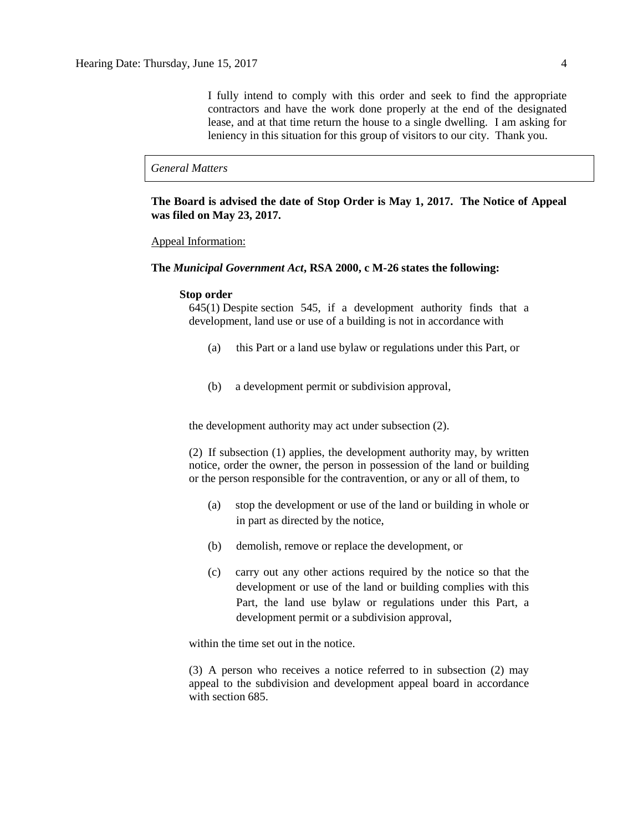I fully intend to comply with this order and seek to find the appropriate contractors and have the work done properly at the end of the designated lease, and at that time return the house to a single dwelling. I am asking for leniency in this situation for this group of visitors to our city. Thank you.

### *General Matters*

**The Board is advised the date of Stop Order is May 1, 2017. The Notice of Appeal was filed on May 23, 2017.** 

## Appeal Information:

## **The** *Municipal Government Act***, RSA 2000, c M-26 states the following:**

### **Stop order**

645(1) Despite [section 545,](https://www.canlii.org/en/ab/laws/stat/rsa-2000-c-m-26/latest/rsa-2000-c-m-26.html#sec545_smooth) if a development authority finds that a development, land use or use of a building is not in accordance with

- (a) this Part or a land use bylaw or regulations under this Part, or
- (b) a development permit or subdivision approval,

the development authority may act under subsection (2).

(2) If subsection (1) applies, the development authority may, by written notice, order the owner, the person in possession of the land or building or the person responsible for the contravention, or any or all of them, to

- (a) stop the development or use of the land or building in whole or in part as directed by the notice,
- (b) demolish, remove or replace the development, or
- (c) carry out any other actions required by the notice so that the development or use of the land or building complies with this Part, the land use bylaw or regulations under this Part, a development permit or a subdivision approval,

within the time set out in the notice.

(3) A person who receives a notice referred to in subsection (2) may appeal to the subdivision and development appeal board in accordance with [section 685.](https://www.canlii.org/en/ab/laws/stat/rsa-2000-c-m-26/latest/rsa-2000-c-m-26.html#sec685_smooth)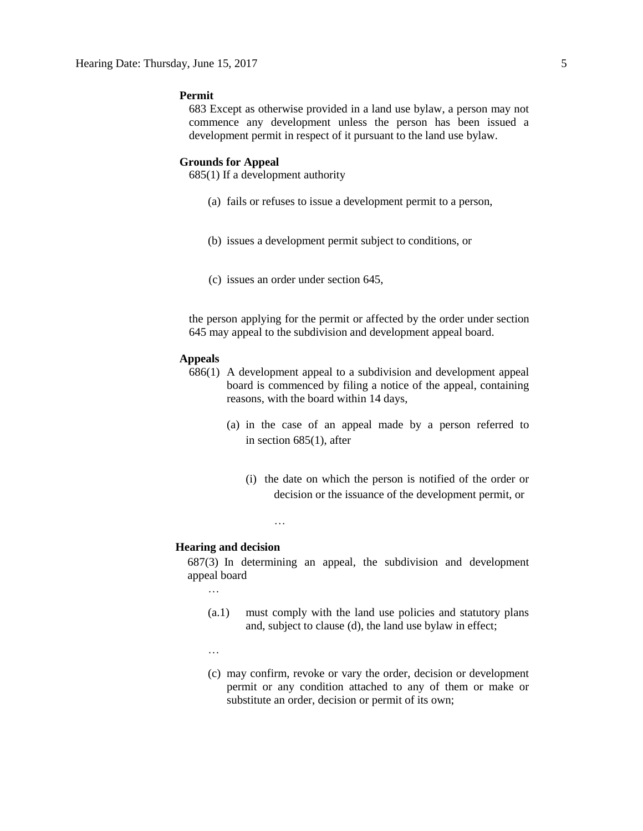## **Permit**

683 Except as otherwise provided in a land use bylaw, a person may not commence any development unless the person has been issued a development permit in respect of it pursuant to the land use bylaw.

## **Grounds for Appeal**

685(1) If a development authority

- (a) fails or refuses to issue a development permit to a person,
- (b) issues a development permit subject to conditions, or
- (c) issues an order under section 645,

the person applying for the permit or affected by the order under section 645 may appeal to the subdivision and development appeal board.

#### **Appeals**

- 686(1) A development appeal to a subdivision and development appeal board is commenced by filing a notice of the appeal, containing reasons, with the board within 14 days,
	- (a) in the case of an appeal made by a person referred to in section 685(1), after
		- (i) the date on which the person is notified of the order or decision or the issuance of the development permit, or

…

## **Hearing and decision**

687(3) In determining an appeal, the subdivision and development appeal board

…

- (a.1) must comply with the land use policies and statutory plans and, subject to clause (d), the land use bylaw in effect;
- …
- (c) may confirm, revoke or vary the order, decision or development permit or any condition attached to any of them or make or substitute an order, decision or permit of its own;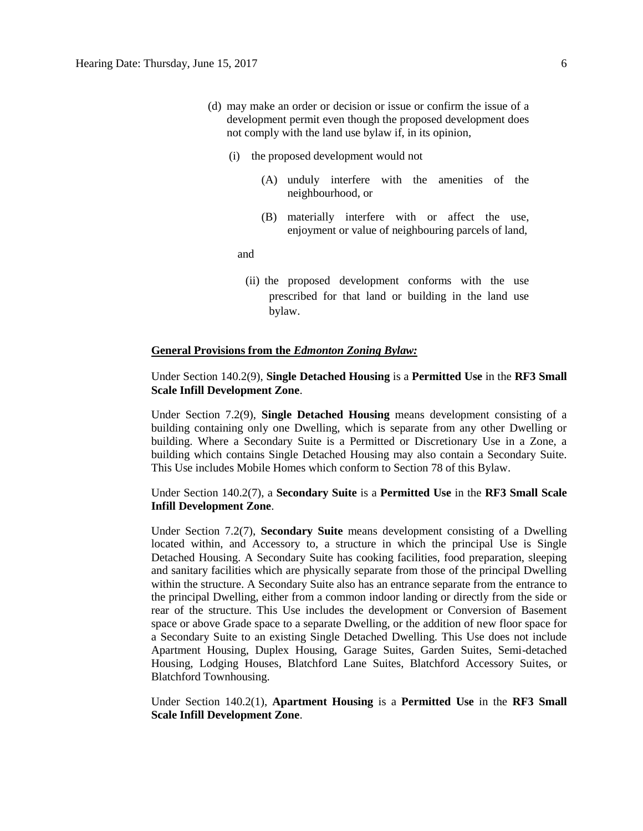- (d) may make an order or decision or issue or confirm the issue of a development permit even though the proposed development does not comply with the land use bylaw if, in its opinion,
	- (i) the proposed development would not
		- (A) unduly interfere with the amenities of the neighbourhood, or
		- (B) materially interfere with or affect the use, enjoyment or value of neighbouring parcels of land,

and

(ii) the proposed development conforms with the use prescribed for that land or building in the land use bylaw.

## **General Provisions from the** *Edmonton Zoning Bylaw:*

## Under Section 140.2(9), **Single Detached Housing** is a **Permitted Use** in the **RF3 Small Scale Infill Development Zone**.

Under Section 7.2(9), **Single Detached Housing** means development consisting of a building containing only one Dwelling, which is separate from any other Dwelling or building. Where a Secondary Suite is a Permitted or Discretionary Use in a Zone, a building which contains Single Detached Housing may also contain a Secondary Suite. This Use includes Mobile Homes which conform to Section 78 of this Bylaw.

Under Section 140.2(7), a **Secondary Suite** is a **Permitted Use** in the **RF3 Small Scale Infill Development Zone**.

Under Section 7.2(7), **Secondary Suite** means development consisting of a Dwelling located within, and Accessory to, a structure in which the principal Use is Single Detached Housing. A Secondary Suite has cooking facilities, food preparation, sleeping and sanitary facilities which are physically separate from those of the principal Dwelling within the structure. A Secondary Suite also has an entrance separate from the entrance to the principal Dwelling, either from a common indoor landing or directly from the side or rear of the structure. This Use includes the development or Conversion of Basement space or above Grade space to a separate Dwelling, or the addition of new floor space for a Secondary Suite to an existing Single Detached Dwelling. This Use does not include Apartment Housing, Duplex Housing, Garage Suites, Garden Suites, Semi-detached Housing, Lodging Houses, Blatchford Lane Suites, Blatchford Accessory Suites, or Blatchford Townhousing.

Under Section 140.2(1), **Apartment Housing** is a **Permitted Use** in the **RF3 Small Scale Infill Development Zone**.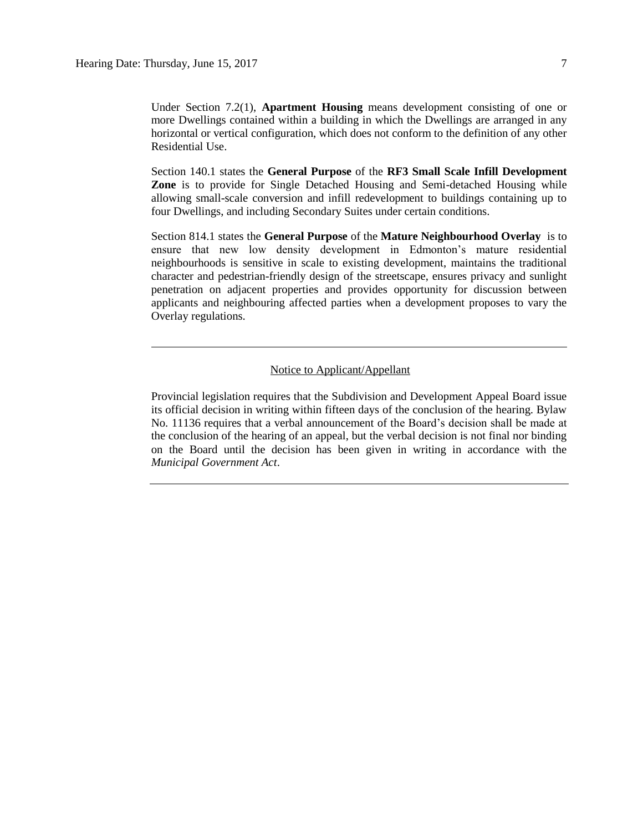Under Section 7.2(1), **Apartment Housing** means development consisting of one or more Dwellings contained within a building in which the Dwellings are arranged in any horizontal or vertical configuration, which does not conform to the definition of any other Residential Use.

Section 140.1 states the **General Purpose** of the **RF3 Small Scale Infill Development Zone** is to provide for Single Detached Housing and Semi-detached Housing while allowing small-scale conversion and infill redevelopment to buildings containing up to four Dwellings, and including Secondary Suites under certain conditions.

Section 814.1 states the **General Purpose** of the **Mature Neighbourhood Overlay** is to ensure that new low density development in Edmonton's mature residential neighbourhoods is sensitive in scale to existing development, maintains the traditional character and pedestrian-friendly design of the streetscape, ensures privacy and sunlight penetration on adjacent properties and provides opportunity for discussion between applicants and neighbouring affected parties when a development proposes to vary the Overlay regulations.

## Notice to Applicant/Appellant

Provincial legislation requires that the Subdivision and Development Appeal Board issue its official decision in writing within fifteen days of the conclusion of the hearing. Bylaw No. 11136 requires that a verbal announcement of the Board's decision shall be made at the conclusion of the hearing of an appeal, but the verbal decision is not final nor binding on the Board until the decision has been given in writing in accordance with the *Municipal Government Act*.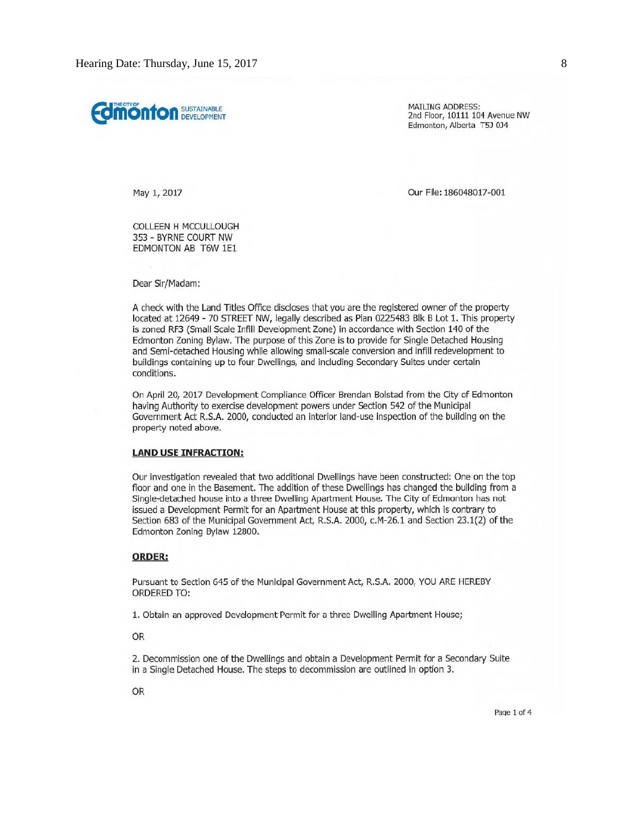**Comonton** SUSTAINABLE

**MAILING ADDRESS:** 2nd Floor, 10111 104 Avenue NW Edmonton, Alberta T5J 0J4

May 1, 2017

Our File: 186048017-001

COLLEEN H MCCULLOUGH 353 - BYRNE COURT NW EDMONTON AB T6W 1E1

Dear Sir/Madam:

A check with the Land Titles Office discloses that you are the registered owner of the property located at 12649 - 70 STREET NW, legally described as Plan 0225483 Blk B Lot 1. This property is zoned RF3 (Small Scale Infill Development Zone) in accordance with Section 140 of the Edmonton Zoning Bylaw. The purpose of this Zone is to provide for Single Detached Housing and Semi-detached Housing while allowing small-scale conversion and infill redevelopment to buildings containing up to four Dwellings, and including Secondary Suites under certain conditions.

On April 20, 2017 Development Compliance Officer Brendan Bolstad from the City of Edmonton having Authority to exercise development powers under Section 542 of the Municipal Government Act R.S.A. 2000, conducted an interior land-use inspection of the building on the property noted above.

#### **LAND USE INFRACTION:**

Our investigation revealed that two additional Dwellings have been constructed: One on the top floor and one in the Basement. The addition of these Dwellings has changed the building from a Single-detached house into a three Dwelling Apartment House. The City of Edmonton has not issued a Development Permit for an Apartment House at this property, which is contrary to Section 683 of the Municipal Government Act, R.S.A. 2000, c.M-26.1 and Section 23.1(2) of the Edmonton Zoning Bylaw 12800.

### **ORDER:**

Pursuant to Section 645 of the Municipal Government Act, R.S.A. 2000, YOU ARE HEREBY **ORDERED TO:** 

1. Obtain an approved Development Permit for a three Dwelling Apartment House;

OR

2. Decommission one of the Dwellings and obtain a Development Permit for a Secondary Suite in a Single Detached House. The steps to decommission are outlined in option 3.

**OR** 

Page 1 of 4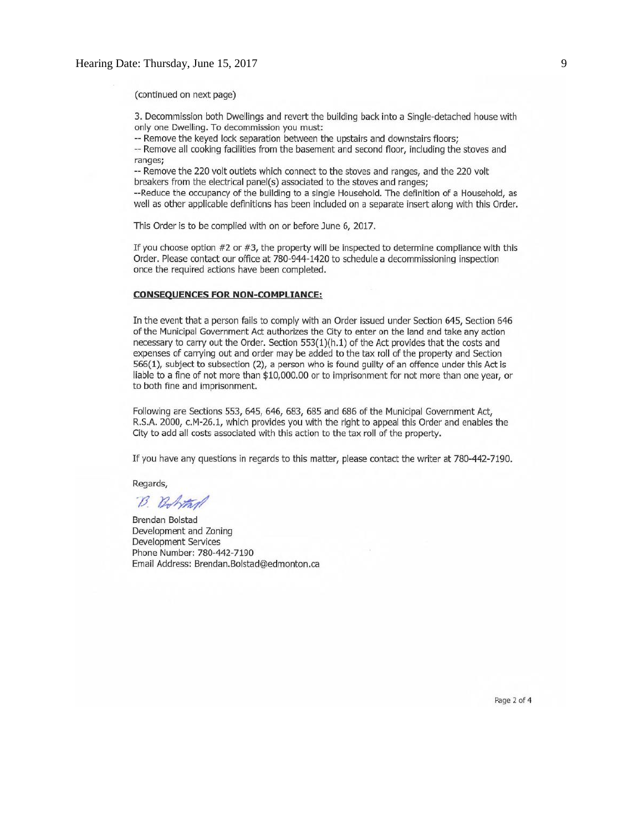(continued on next page)

3. Decommission both Dwellings and revert the building back into a Single-detached house with only one Dwelling. To decommission you must:

-- Remove the keyed lock separation between the upstairs and downstairs floors;

-- Remove all cooking facilities from the basement and second floor, including the stoves and ranges;

-- Remove the 220 volt outlets which connect to the stoves and ranges, and the 220 volt breakers from the electrical panel(s) associated to the stoves and ranges;

--Reduce the occupancy of the building to a single Household. The definition of a Household, as well as other applicable definitions has been included on a separate insert along with this Order.

This Order is to be complied with on or before June 6, 2017.

If you choose option #2 or #3, the property will be inspected to determine compliance with this Order. Please contact our office at 780-944-1420 to schedule a decommissioning inspection once the required actions have been completed.

#### **CONSEQUENCES FOR NON-COMPLIANCE:**

In the event that a person fails to comply with an Order issued under Section 645, Section 646 of the Municipal Government Act authorizes the City to enter on the land and take any action necessary to carry out the Order. Section 553(1)(h.1) of the Act provides that the costs and expenses of carrying out and order may be added to the tax roll of the property and Section 566(1), subject to subsection (2), a person who is found guilty of an offence under this Act is liable to a fine of not more than \$10,000.00 or to imprisonment for not more than one year, or to both fine and imprisonment.

Following are Sections 553, 645, 646, 683, 685 and 686 of the Municipal Government Act, R.S.A. 2000, c.M-26.1, which provides you with the right to appeal this Order and enables the City to add all costs associated with this action to the tax roll of the property.

If you have any questions in regards to this matter, please contact the writer at 780-442-7190.

Regards,

B. Bohtan

Brendan Bolstad Development and Zoning Development Services Phone Number: 780-442-7190 Email Address: Brendan.Bolstad@edmonton.ca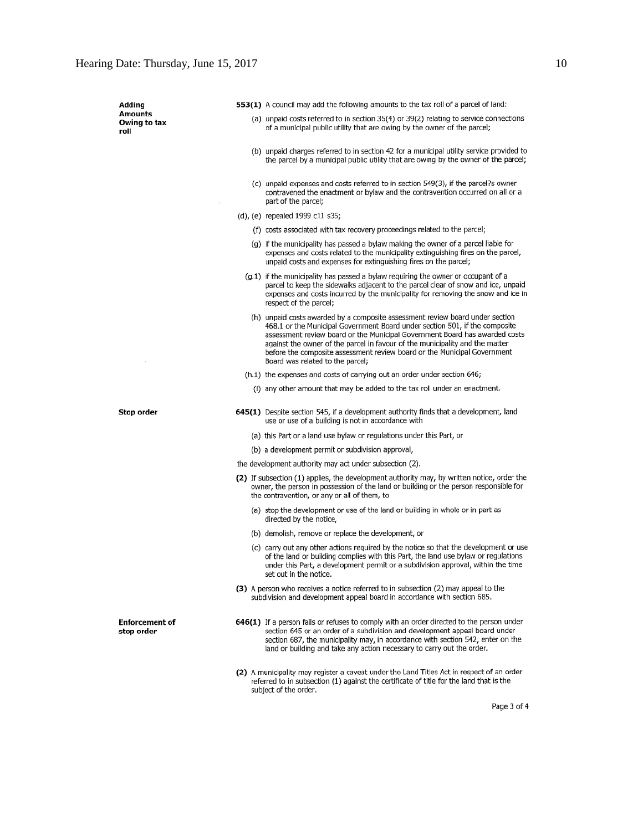| Adding                              |                                                                                                                                                                                                                                     | <b>553(1)</b> A council may add the following amounts to the tax roll of a parcel of land:                                                                                                                                                                                                                                                                                                              |
|-------------------------------------|-------------------------------------------------------------------------------------------------------------------------------------------------------------------------------------------------------------------------------------|---------------------------------------------------------------------------------------------------------------------------------------------------------------------------------------------------------------------------------------------------------------------------------------------------------------------------------------------------------------------------------------------------------|
| Amounts<br>Owing to tax<br>roll     |                                                                                                                                                                                                                                     | (a) unpaid costs referred to in section 35(4) or 39(2) relating to service connections<br>of a municipal public utility that are owing by the owner of the parcel;                                                                                                                                                                                                                                      |
|                                     |                                                                                                                                                                                                                                     | (b) unpaid charges referred to in section 42 for a municipal utility service provided to<br>the parcel by a municipal public utility that are owing by the owner of the parcel;                                                                                                                                                                                                                         |
|                                     | part of the parcel;                                                                                                                                                                                                                 | (c) unpaid expenses and costs referred to in section 549(3), if the parcel?s owner<br>contravened the enactment or bylaw and the contravention occurred on all or a                                                                                                                                                                                                                                     |
|                                     | (d), (e) repealed 1999 c11 s35;                                                                                                                                                                                                     |                                                                                                                                                                                                                                                                                                                                                                                                         |
|                                     |                                                                                                                                                                                                                                     | (f) costs associated with tax recovery proceedings related to the parcel;                                                                                                                                                                                                                                                                                                                               |
|                                     |                                                                                                                                                                                                                                     | (g) if the municipality has passed a bylaw making the owner of a parcel liable for<br>expenses and costs related to the municipality extinguishing fires on the parcel,<br>unpaid costs and expenses for extinguishing fires on the parcel;                                                                                                                                                             |
|                                     | respect of the parcel;                                                                                                                                                                                                              | (g.1) if the municipality has passed a bylaw requiring the owner or occupant of a<br>parcel to keep the sidewalks adjacent to the parcel clear of snow and ice, unpaid<br>expenses and costs incurred by the municipality for removing the snow and ice in                                                                                                                                              |
|                                     | Board was related to the parcel;                                                                                                                                                                                                    | (h) unpaid costs awarded by a composite assessment review board under section<br>468.1 or the Municipal Government Board under section 501, if the composite<br>assessment review board or the Municipal Government Board has awarded costs<br>against the owner of the parcel in favour of the municipality and the matter<br>before the composite assessment review board or the Municipal Government |
|                                     |                                                                                                                                                                                                                                     | (h.1) the expenses and costs of carrying out an order under section 646;                                                                                                                                                                                                                                                                                                                                |
|                                     |                                                                                                                                                                                                                                     | (i) any other amount that may be added to the tax roll under an enactment.                                                                                                                                                                                                                                                                                                                              |
| Stop order                          | use or use of a building is not in accordance with                                                                                                                                                                                  | 645(1) Despite section 545, if a development authority finds that a development, land                                                                                                                                                                                                                                                                                                                   |
|                                     |                                                                                                                                                                                                                                     | (a) this Part or a land use bylaw or regulations under this Part, or                                                                                                                                                                                                                                                                                                                                    |
|                                     | (b) a development permit or subdivision approval,                                                                                                                                                                                   |                                                                                                                                                                                                                                                                                                                                                                                                         |
|                                     | the development authority may act under subsection (2).                                                                                                                                                                             |                                                                                                                                                                                                                                                                                                                                                                                                         |
|                                     | (2) If subsection (1) applies, the development authority may, by written notice, order the<br>owner, the person in possession of the land or building or the person responsible for<br>the contravention, or any or all of them, to |                                                                                                                                                                                                                                                                                                                                                                                                         |
|                                     | directed by the notice,                                                                                                                                                                                                             | (a) stop the development or use of the land or building in whole or in part as                                                                                                                                                                                                                                                                                                                          |
|                                     | (b) demolish, remove or replace the development, or                                                                                                                                                                                 |                                                                                                                                                                                                                                                                                                                                                                                                         |
|                                     | set out in the notice.                                                                                                                                                                                                              | (c) carry out any other actions required by the notice so that the development or use<br>of the land or building complies with this Part, the land use bylaw or regulations<br>under this Part, a development permit or a subdivision approval, within the time                                                                                                                                         |
|                                     |                                                                                                                                                                                                                                     | (3) A person who receives a notice referred to in subsection (2) may appeal to the<br>subdivision and development appeal board in accordance with section 685.                                                                                                                                                                                                                                          |
| <b>Enforcement of</b><br>stop order |                                                                                                                                                                                                                                     | <b>646(1)</b> If a person fails or refuses to comply with an order directed to the person under<br>section 645 or an order of a subdivision and development appeal board under<br>section 687, the municipality may, in accordance with section 542, enter on the<br>land or building and take any action necessary to carry out the order.                                                             |
|                                     |                                                                                                                                                                                                                                     | (2) A municipality may register a caveat under the Land Titles Act in respect of an order                                                                                                                                                                                                                                                                                                               |

Page 3 of 4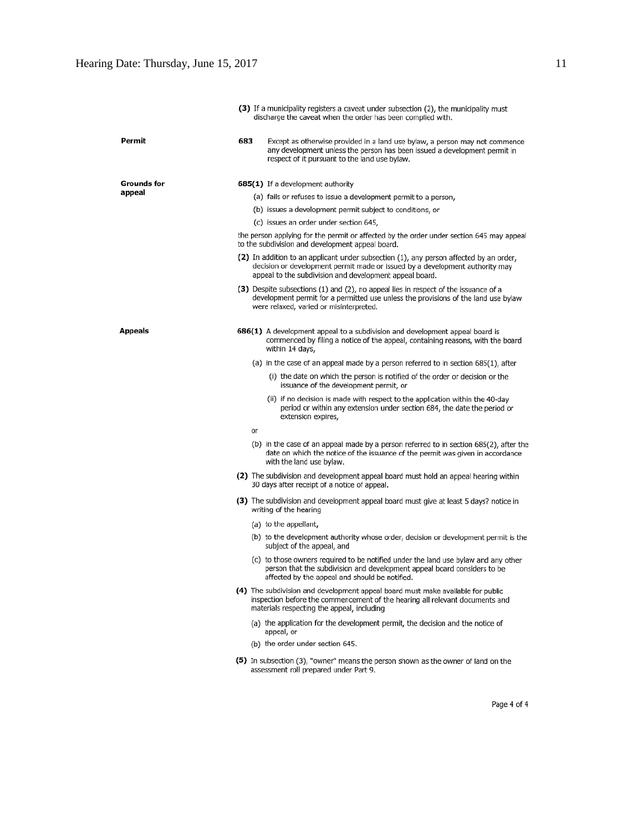|                |                                                                                                                                                                                                                                   | (3) If a municipality registers a caveat under subsection (2), the municipality must<br>discharge the caveat when the order has been complied with.                                                                  |  |
|----------------|-----------------------------------------------------------------------------------------------------------------------------------------------------------------------------------------------------------------------------------|----------------------------------------------------------------------------------------------------------------------------------------------------------------------------------------------------------------------|--|
| Permit         | 683                                                                                                                                                                                                                               | Except as otherwise provided in a land use bylaw, a person may not commence<br>any development unless the person has been issued a development permit in<br>respect of it pursuant to the land use bylaw.            |  |
| Grounds for    |                                                                                                                                                                                                                                   | 685(1) If a development authority                                                                                                                                                                                    |  |
| appeal         |                                                                                                                                                                                                                                   | (a) fails or refuses to issue a development permit to a person,                                                                                                                                                      |  |
|                |                                                                                                                                                                                                                                   | (b) issues a development permit subject to conditions, or                                                                                                                                                            |  |
|                |                                                                                                                                                                                                                                   | (c) issues an order under section 645,                                                                                                                                                                               |  |
|                |                                                                                                                                                                                                                                   | the person applying for the permit or affected by the order under section 645 may appeal<br>to the subdivision and development appeal board.                                                                         |  |
|                | (2) In addition to an applicant under subsection (1), any person affected by an order,<br>decision or development permit made or issued by a development authority may<br>appeal to the subdivision and development appeal board. |                                                                                                                                                                                                                      |  |
|                |                                                                                                                                                                                                                                   | (3) Despite subsections (1) and (2), no appeal lies in respect of the issuance of a<br>development permit for a permitted use unless the provisions of the land use bylaw<br>were relaxed, varied or misinterpreted. |  |
| <b>Appeals</b> |                                                                                                                                                                                                                                   | 686(1) A development appeal to a subdivision and development appeal board is<br>commenced by filing a notice of the appeal, containing reasons, with the board<br>within 14 days,                                    |  |
|                |                                                                                                                                                                                                                                   | (a) in the case of an appeal made by a person referred to in section 685(1), after                                                                                                                                   |  |
|                |                                                                                                                                                                                                                                   | (i) the date on which the person is notified of the order or decision or the<br>issuance of the development permit, or                                                                                               |  |
|                |                                                                                                                                                                                                                                   | (ii) if no decision is made with respect to the application within the 40-day<br>period or within any extension under section 684, the date the period or<br>extension expires,                                      |  |
|                | or                                                                                                                                                                                                                                |                                                                                                                                                                                                                      |  |
|                |                                                                                                                                                                                                                                   | (b) in the case of an appeal made by a person referred to in section 685(2), after the<br>date on which the notice of the issuance of the permit was given in accordance<br>with the land use bylaw.                 |  |
|                |                                                                                                                                                                                                                                   | (2) The subdivision and development appeal board must hold an appeal hearing within<br>30 days after receipt of a notice of appeal.                                                                                  |  |
|                |                                                                                                                                                                                                                                   | (3) The subdivision and development appeal board must give at least 5 days? notice in<br>writing of the hearing                                                                                                      |  |
|                |                                                                                                                                                                                                                                   | (a) to the appellant,                                                                                                                                                                                                |  |
|                |                                                                                                                                                                                                                                   | (b) to the development authority whose order, decision or development permit is the<br>subject of the appeal, and                                                                                                    |  |
|                |                                                                                                                                                                                                                                   | (c) to those owners required to be notified under the land use bylaw and any other<br>person that the subdivision and development appeal board considers to be<br>affected by the appeal and should be notified.     |  |
|                |                                                                                                                                                                                                                                   | (4) The subdivision and development appeal board must make available for public<br>inspection before the commencement of the hearing all relevant documents and<br>materials respecting the appeal, including        |  |
|                |                                                                                                                                                                                                                                   | (a) the application for the development permit, the decision and the notice of<br>appeal, or                                                                                                                         |  |
|                |                                                                                                                                                                                                                                   | (b) the order under section 645.                                                                                                                                                                                     |  |
|                |                                                                                                                                                                                                                                   | (5) In subsection (3), "owner" means the person shown as the owner of land on the<br>assessment roll prepared under Part 9.                                                                                          |  |
|                |                                                                                                                                                                                                                                   |                                                                                                                                                                                                                      |  |